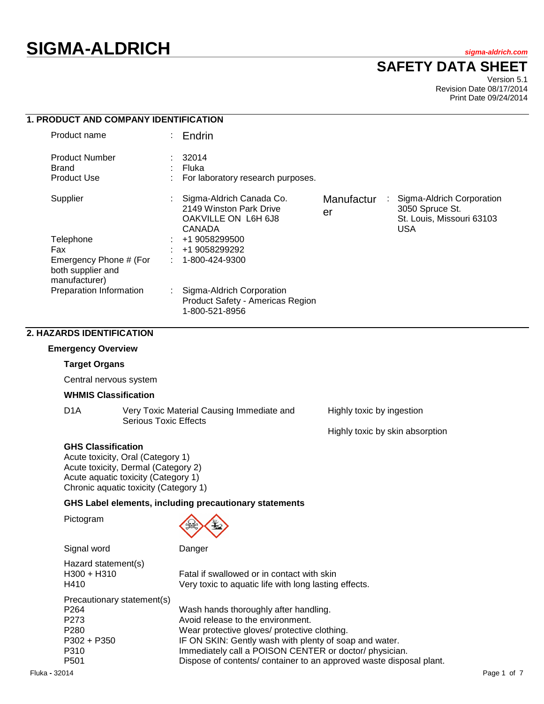# **SIGMA-ALDRICH** *sigma-aldrich.com*

## **SAFETY DATA SHEET**

Version 5.1 Revision Date 08/17/2014 Print Date 09/24/2014

## **1. PRODUCT AND COMPANY IDENTIFICATION**

| Product name                                                 |    | Endrin                                                                               |                  |    |                                                                                         |
|--------------------------------------------------------------|----|--------------------------------------------------------------------------------------|------------------|----|-----------------------------------------------------------------------------------------|
| <b>Product Number</b><br><b>Brand</b><br><b>Product Use</b>  |    | 32014<br>Fluka<br>For laboratory research purposes.                                  |                  |    |                                                                                         |
| Supplier                                                     |    | Sigma-Aldrich Canada Co.<br>2149 Winston Park Drive<br>OAKVILLE ON L6H 6J8<br>CANADA | Manufactur<br>er | ÷. | Sigma-Aldrich Corporation<br>3050 Spruce St.<br>St. Louis, Missouri 63103<br><b>USA</b> |
| Telephone                                                    |    | +1 9058299500                                                                        |                  |    |                                                                                         |
| Fax                                                          |    | +1 9058299292                                                                        |                  |    |                                                                                         |
| Emergency Phone # (For<br>both supplier and<br>manufacturer) |    | 1-800-424-9300                                                                       |                  |    |                                                                                         |
| Preparation Information                                      | ÷. | Sigma-Aldrich Corporation<br>Product Safety - Americas Region<br>1-800-521-8956      |                  |    |                                                                                         |

## **2. HAZARDS IDENTIFICATION**

#### **Emergency Overview**

#### **Target Organs**

Central nervous system

#### **WHMIS Classification**

D1A Very Toxic Material Causing Immediate and Serious Toxic Effects

Highly toxic by ingestion

Highly toxic by skin absorption

## **GHS Classification**

Acute toxicity, Oral (Category 1) Acute toxicity, Dermal (Category 2) Acute aquatic toxicity (Category 1) Chronic aquatic toxicity (Category 1)

#### **GHS Label elements, including precautionary statements**

Pictogram



Signal word Danger

| Hazard statement(s)<br>H300 + H310<br>H410 | Fatal if swallowed or in contact with skin<br>Very toxic to aquatic life with long lasting effects. |
|--------------------------------------------|-----------------------------------------------------------------------------------------------------|
| Precautionary statement(s)                 |                                                                                                     |
| P <sub>264</sub>                           | Wash hands thoroughly after handling.                                                               |
| P273                                       | Avoid release to the environment.                                                                   |
| P <sub>280</sub>                           | Wear protective gloves/ protective clothing.                                                        |
| $P302 + P350$                              | IF ON SKIN: Gently wash with plenty of soap and water.                                              |
| P310                                       | Immediately call a POISON CENTER or doctor/ physician.                                              |
| P <sub>501</sub>                           | Dispose of contents/ container to an approved waste disposal plant.                                 |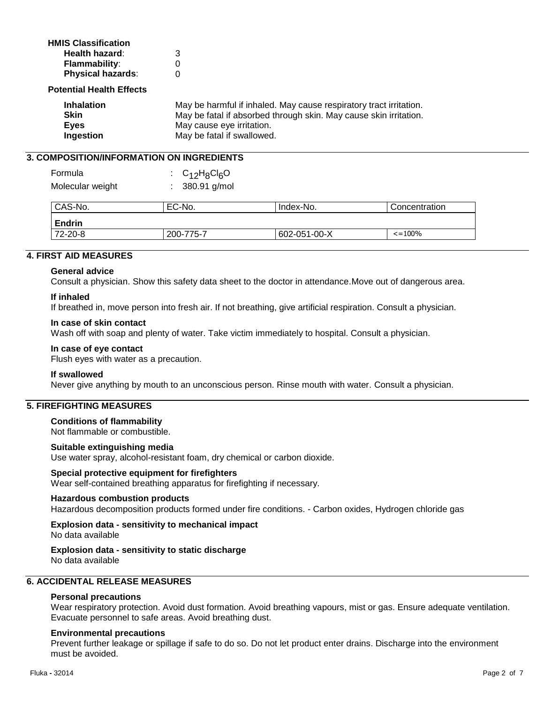| <b>HMIS Classification</b> |   |
|----------------------------|---|
| Health hazard:             | 3 |
| <b>Flammability:</b>       | 0 |
| <b>Physical hazards:</b>   | 0 |

**Potential Health Effects**

| <b>Inhalation</b> | May be harmful if inhaled. May cause respiratory tract irritation. |
|-------------------|--------------------------------------------------------------------|
| <b>Skin</b>       | May be fatal if absorbed through skin. May cause skin irritation.  |
| <b>Eyes</b>       | May cause eye irritation.                                          |
| Ingestion         | May be fatal if swallowed.                                         |

## **3. COMPOSITION/INFORMATION ON INGREDIENTS**

| Formula          | : $C_{12}H_{8}Cl_{6}O$ |
|------------------|------------------------|
| Molecular weight | $: 380.91$ g/mol       |

| CAS-No. | EC-No.    | Index-No.    | Concentration      |
|---------|-----------|--------------|--------------------|
| Endrin  |           |              |                    |
| 72-20-8 | 200-775-7 | 602-051-00-X | $\epsilon = 100\%$ |

## **4. FIRST AID MEASURES**

#### **General advice**

Consult a physician. Show this safety data sheet to the doctor in attendance.Move out of dangerous area.

#### **If inhaled**

If breathed in, move person into fresh air. If not breathing, give artificial respiration. Consult a physician.

#### **In case of skin contact**

Wash off with soap and plenty of water. Take victim immediately to hospital. Consult a physician.

#### **In case of eye contact**

Flush eyes with water as a precaution.

#### **If swallowed**

Never give anything by mouth to an unconscious person. Rinse mouth with water. Consult a physician.

## **5. FIREFIGHTING MEASURES**

#### **Conditions of flammability** Not flammable or combustible.

## **Suitable extinguishing media**

Use water spray, alcohol-resistant foam, dry chemical or carbon dioxide.

#### **Special protective equipment for firefighters**

Wear self-contained breathing apparatus for firefighting if necessary.

#### **Hazardous combustion products**

Hazardous decomposition products formed under fire conditions. - Carbon oxides, Hydrogen chloride gas

## **Explosion data - sensitivity to mechanical impact**

No data available

## **Explosion data - sensitivity to static discharge**

No data available

## **6. ACCIDENTAL RELEASE MEASURES**

#### **Personal precautions**

Wear respiratory protection. Avoid dust formation. Avoid breathing vapours, mist or gas. Ensure adequate ventilation. Evacuate personnel to safe areas. Avoid breathing dust.

#### **Environmental precautions**

Prevent further leakage or spillage if safe to do so. Do not let product enter drains. Discharge into the environment must be avoided.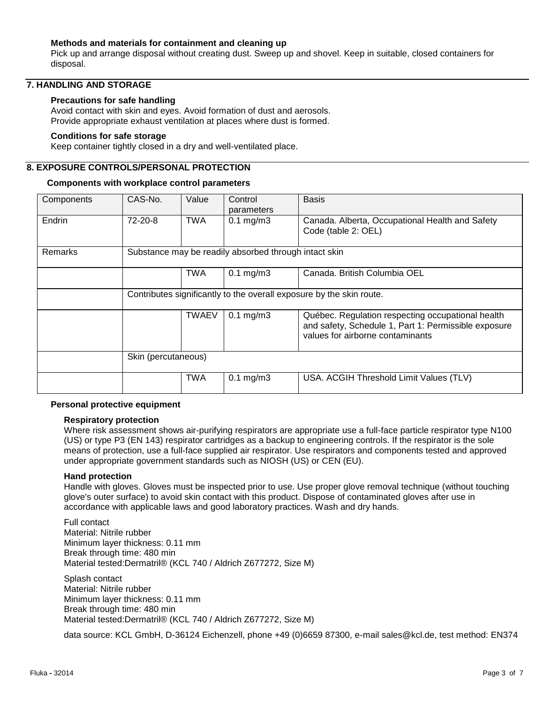#### **Methods and materials for containment and cleaning up**

Pick up and arrange disposal without creating dust. Sweep up and shovel. Keep in suitable, closed containers for disposal.

## **7. HANDLING AND STORAGE**

#### **Precautions for safe handling**

Avoid contact with skin and eyes. Avoid formation of dust and aerosols. Provide appropriate exhaust ventilation at places where dust is formed.

#### **Conditions for safe storage**

Keep container tightly closed in a dry and well-ventilated place.

## **8. EXPOSURE CONTROLS/PERSONAL PROTECTION**

#### **Components with workplace control parameters**

| Components | CAS-No.             | Value                                                                | Control<br>parameters                                 | <b>Basis</b>                                                                                                                                  |
|------------|---------------------|----------------------------------------------------------------------|-------------------------------------------------------|-----------------------------------------------------------------------------------------------------------------------------------------------|
| Endrin     | $72 - 20 - 8$       | <b>TWA</b>                                                           | $0.1$ mg/m $3$                                        | Canada. Alberta, Occupational Health and Safety<br>Code (table 2: OEL)                                                                        |
| Remarks    |                     |                                                                      | Substance may be readily absorbed through intact skin |                                                                                                                                               |
|            |                     | <b>TWA</b>                                                           | $0.1 \,\mathrm{mg/m3}$                                | Canada. British Columbia OEL                                                                                                                  |
|            |                     | Contributes significantly to the overall exposure by the skin route. |                                                       |                                                                                                                                               |
|            |                     | <b>TWAEV</b>                                                         | $0.1 \,\mathrm{mg/m3}$                                | Québec. Regulation respecting occupational health<br>and safety, Schedule 1, Part 1: Permissible exposure<br>values for airborne contaminants |
|            | Skin (percutaneous) |                                                                      |                                                       |                                                                                                                                               |
|            |                     | <b>TWA</b>                                                           | $0.1$ mg/m $3$                                        | USA. ACGIH Threshold Limit Values (TLV)                                                                                                       |

#### **Personal protective equipment**

#### **Respiratory protection**

Where risk assessment shows air-purifying respirators are appropriate use a full-face particle respirator type N100 (US) or type P3 (EN 143) respirator cartridges as a backup to engineering controls. If the respirator is the sole means of protection, use a full-face supplied air respirator. Use respirators and components tested and approved under appropriate government standards such as NIOSH (US) or CEN (EU).

#### **Hand protection**

Handle with gloves. Gloves must be inspected prior to use. Use proper glove removal technique (without touching glove's outer surface) to avoid skin contact with this product. Dispose of contaminated gloves after use in accordance with applicable laws and good laboratory practices. Wash and dry hands.

Full contact Material: Nitrile rubber Minimum layer thickness: 0.11 mm Break through time: 480 min Material tested:Dermatril® (KCL 740 / Aldrich Z677272, Size M)

Splash contact Material: Nitrile rubber Minimum layer thickness: 0.11 mm Break through time: 480 min Material tested:Dermatril® (KCL 740 / Aldrich Z677272, Size M)

data source: KCL GmbH, D-36124 Eichenzell, phone +49 (0)6659 87300, e-mail sales@kcl.de, test method: EN374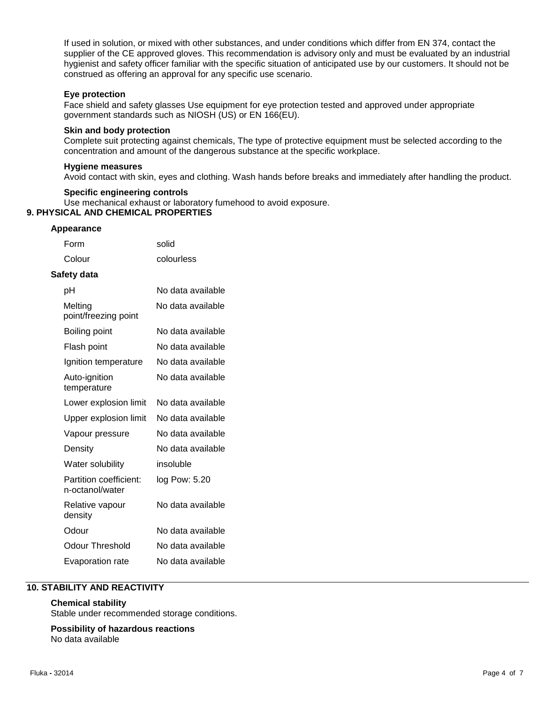If used in solution, or mixed with other substances, and under conditions which differ from EN 374, contact the supplier of the CE approved gloves. This recommendation is advisory only and must be evaluated by an industrial hygienist and safety officer familiar with the specific situation of anticipated use by our customers. It should not be construed as offering an approval for any specific use scenario.

#### **Eye protection**

Face shield and safety glasses Use equipment for eye protection tested and approved under appropriate government standards such as NIOSH (US) or EN 166(EU).

#### **Skin and body protection**

Complete suit protecting against chemicals, The type of protective equipment must be selected according to the concentration and amount of the dangerous substance at the specific workplace.

#### **Hygiene measures**

Avoid contact with skin, eyes and clothing. Wash hands before breaks and immediately after handling the product.

#### **Specific engineering controls**

Use mechanical exhaust or laboratory fumehood to avoid exposure.

#### **9. PHYSICAL AND CHEMICAL PROPERTIES**

#### **Appearance**

| Form                                      | solid             |
|-------------------------------------------|-------------------|
| Colour                                    | colourless        |
| Safety data                               |                   |
| рH                                        | No data available |
| Melting<br>point/freezing point           | No data available |
| Boiling point                             | No data available |
| Flash point                               | No data available |
| Ignition temperature                      | No data available |
| Auto-ignition<br>temperature              | No data available |
| Lower explosion limit                     | No data available |
| Upper explosion limit                     | No data available |
| Vapour pressure                           | No data available |
| Density                                   | No data available |
| Water solubility                          | insoluble         |
| Partition coefficient:<br>n-octanol/water | log Pow: 5.20     |
| Relative vapour<br>density                | No data available |
| Odour                                     | No data available |
| Odour Threshold                           | No data available |
| Evaporation rate                          | No data available |

## **10. STABILITY AND REACTIVITY**

#### **Chemical stability**

Stable under recommended storage conditions.

#### **Possibility of hazardous reactions** No data available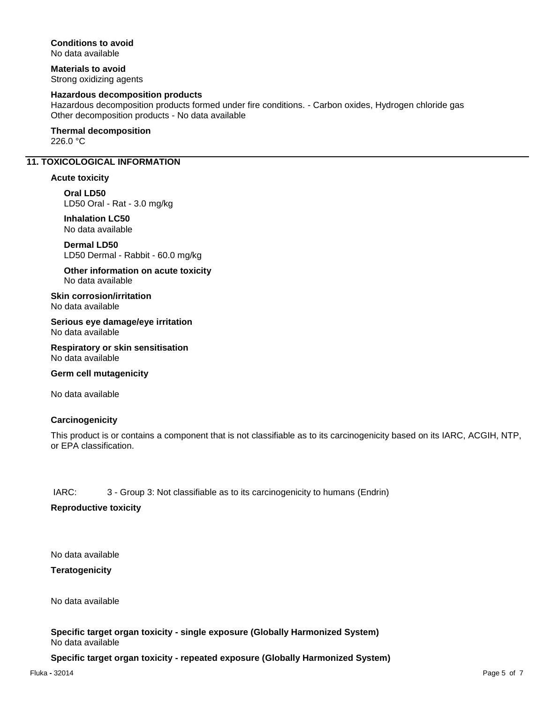## **Conditions to avoid**

No data available

**Materials to avoid** Strong oxidizing agents

#### **Hazardous decomposition products**

Hazardous decomposition products formed under fire conditions. - Carbon oxides, Hydrogen chloride gas Other decomposition products - No data available

**Thermal decomposition** 226.0 °C

## **11. TOXICOLOGICAL INFORMATION**

**Acute toxicity**

**Oral LD50** LD50 Oral - Rat - 3.0 mg/kg

**Inhalation LC50** No data available

**Dermal LD50** LD50 Dermal - Rabbit - 60.0 mg/kg

**Other information on acute toxicity** No data available

**Skin corrosion/irritation** No data available

**Serious eye damage/eye irritation** No data available

**Respiratory or skin sensitisation** No data available

**Germ cell mutagenicity**

No data available

## **Carcinogenicity**

This product is or contains a component that is not classifiable as to its carcinogenicity based on its IARC, ACGIH, NTP, or EPA classification.

## IARC: 3 - Group 3: Not classifiable as to its carcinogenicity to humans (Endrin)

#### **Reproductive toxicity**

No data available

**Teratogenicity**

No data available

**Specific target organ toxicity - single exposure (Globally Harmonized System)** No data available

**Specific target organ toxicity - repeated exposure (Globally Harmonized System)**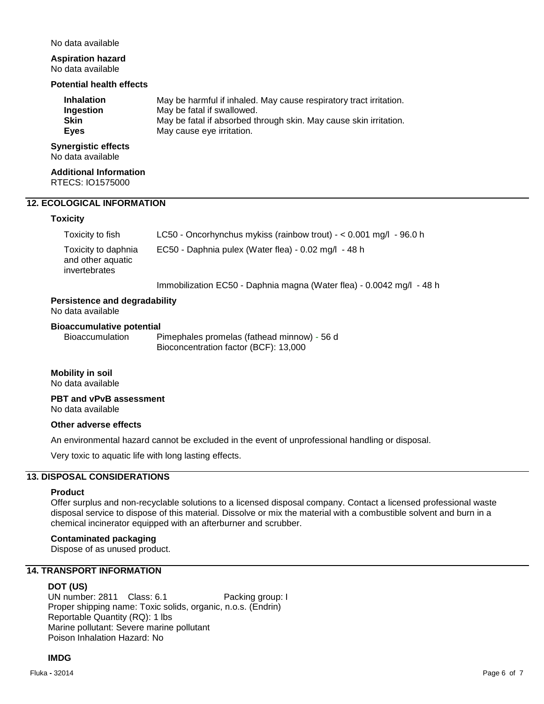#### No data available

#### **Aspiration hazard** No data available

#### **Potential health effects**

| <b>Inhalation</b><br>Ingestion<br>Skin<br>Eyes | May be harmful if inhaled. May cause respiratory tract irritation.<br>May be fatal if swallowed.<br>May be fatal if absorbed through skin. May cause skin irritation.<br>May cause eye irritation. |
|------------------------------------------------|----------------------------------------------------------------------------------------------------------------------------------------------------------------------------------------------------|
| Synergistic effects<br>No data available       |                                                                                                                                                                                                    |
| Additional Information<br>RTECS: IO1575000     |                                                                                                                                                                                                    |

## **12. ECOLOGICAL INFORMATION**

#### **Toxicity**

| Toxicity to fish                                          | LC50 - Oncorhynchus mykiss (rainbow trout) - $<$ 0.001 mg/l - 96.0 h  |
|-----------------------------------------------------------|-----------------------------------------------------------------------|
| Toxicity to daphnia<br>and other aquatic<br>invertebrates | EC50 - Daphnia pulex (Water flea) - 0.02 mg/l - 48 h                  |
|                                                           | Immobilization EC50 - Daphnia magna (Water flea) - 0.0042 mg/l - 48 h |

#### **Persistence and degradability**

No data available

# **Bioaccumulative potential**

Pimephales promelas (fathead minnow) - 56 d Bioconcentration factor (BCF): 13,000

**Mobility in soil** No data available

#### **PBT and vPvB assessment** No data available

#### **Other adverse effects**

An environmental hazard cannot be excluded in the event of unprofessional handling or disposal.

Very toxic to aquatic life with long lasting effects.

## **13. DISPOSAL CONSIDERATIONS**

#### **Product**

Offer surplus and non-recyclable solutions to a licensed disposal company. Contact a licensed professional waste disposal service to dispose of this material. Dissolve or mix the material with a combustible solvent and burn in a chemical incinerator equipped with an afterburner and scrubber.

#### **Contaminated packaging**

Dispose of as unused product.

#### **14. TRANSPORT INFORMATION**

#### **DOT (US)**

UN number: 2811 Class: 6.1 Packing group: I Proper shipping name: Toxic solids, organic, n.o.s. (Endrin) Reportable Quantity (RQ): 1 lbs Marine pollutant: Severe marine pollutant Poison Inhalation Hazard: No

#### **IMDG**